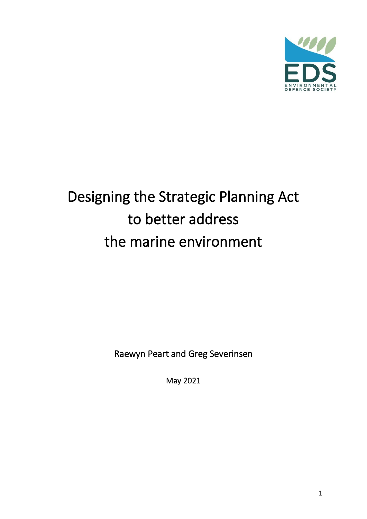

# Designing the Strategic Planning Act to better address the marine environment

Raewyn Peart and Greg Severinsen

May 2021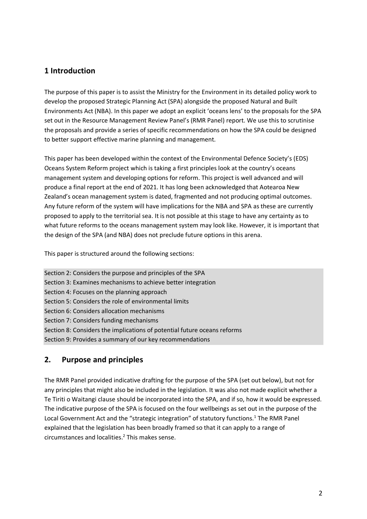## **1 Introduction**

The purpose of this paper is to assist the Ministry for the Environment in its detailed policy work to develop the proposed Strategic Planning Act (SPA) alongside the proposed Natural and Built Environments Act (NBA). In this paper we adopt an explicit 'oceans lens' to the proposals for the SPA set out in the Resource Management Review Panel's (RMR Panel) report. We use this to scrutinise the proposals and provide a series of specific recommendations on how the SPA could be designed to better support effective marine planning and management.

This paper has been developed within the context of the Environmental Defence Society's (EDS) Oceans System Reform project which is taking a first principles look at the country's oceans management system and developing options for reform. This project is well advanced and will produce a final report at the end of 2021. It has long been acknowledged that Aotearoa New Zealand's ocean management system is dated, fragmented and not producing optimal outcomes. Any future reform of the system will have implications for the NBA and SPA as these are currently proposed to apply to the territorial sea. It is not possible at this stage to have any certainty as to what future reforms to the oceans management system may look like. However, it is important that the design of the SPA (and NBA) does not preclude future options in this arena.

This paper is structured around the following sections:

Section 2: Considers the purpose and principles of the SPA Section 3: Examines mechanisms to achieve better integration Section 4: Focuses on the planning approach Section 5: Considers the role of environmental limits Section 6: Considers allocation mechanisms Section 7: Considers funding mechanisms Section 8: Considers the implications of potential future oceans reforms Section 9: Provides a summary of our key recommendations

### **2. Purpose and principles**

The RMR Panel provided indicative drafting for the purpose of the SPA (set out below), but not for any principles that might also be included in the legislation. It was also not made explicit whether a Te Tiriti o Waitangi clause should be incorporated into the SPA, and if so, how it would be expressed. The indicative purpose of the SPA is focused on the four wellbeings as set out in the purpose of the Local Government Act and the "strategic integration" of statutory functions.<sup>1</sup> The RMR Panel explained that the legislation has been broadly framed so that it can apply to a range of circumstances and localities. 2 This makes sense.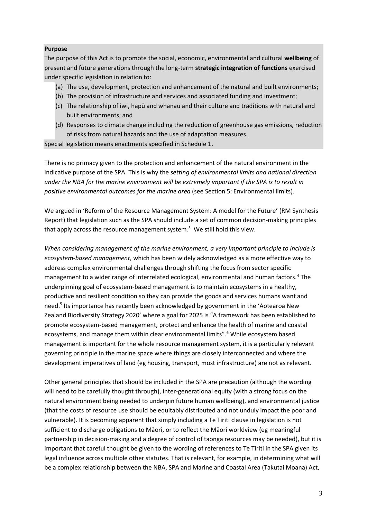#### **Purpose**

The purpose of this Act is to promote the social, economic, environmental and cultural **wellbeing** of present and future generations through the long-term **strategic integration of functions** exercised under specific legislation in relation to:

- (a) The use, development, protection and enhancement of the natural and built environments;
- (b) The provision of infrastructure and services and associated funding and investment;
- (c) The relationship of iwi, hapū and whanau and their culture and traditions with natural and built environments; and
- (d) Responses to climate change including the reduction of greenhouse gas emissions, reduction of risks from natural hazards and the use of adaptation measures.

Special legislation means enactments specified in Schedule 1.

There is no primacy given to the protection and enhancement of the natural environment in the indicative purpose of the SPA. This is why the *setting of environmental limits and national direction under the NBA for the marine environment will be extremely important if the SPA is to result in positive environmental outcomes for the marine area* (see Section 5: Environmental limits).

We argued in 'Reform of the Resource Management System: A model for the Future' (RM Synthesis Report) that legislation such as the SPA should include a set of common decision-making principles that apply across the resource management system.<sup>3</sup> We still hold this view.

*When considering management of the marine environment, a very important principle to include is ecosystem-based management,* which has been widely acknowledged as a more effective way to address complex environmental challenges through shifting the focus from sector specific management to a wider range of interrelated ecological, environmental and human factors.<sup>4</sup> The underpinning goal of ecosystem-based management is to maintain ecosystems in a healthy, productive and resilient condition so they can provide the goods and services humans want and need.<sup>5</sup> Its importance has recently been acknowledged by government in the 'Aotearoa New Zealand Biodiversity Strategy 2020' where a goal for 2025 is "A framework has been established to promote ecosystem-based management, protect and enhance the health of marine and coastal ecosystems, and manage them within clear environmental limits".<sup>6</sup> While ecosystem based management is important for the whole resource management system, it is a particularly relevant governing principle in the marine space where things are closely interconnected and where the development imperatives of land (eg housing, transport, most infrastructure) are not as relevant.

Other general principles that should be included in the SPA are precaution (although the wording will need to be carefully thought through), inter-generational equity (with a strong focus on the natural environment being needed to underpin future human wellbeing), and environmental justice (that the costs of resource use should be equitably distributed and not unduly impact the poor and vulnerable). It is becoming apparent that simply including a Te Tiriti clause in legislation is not sufficient to discharge obligations to Māori, or to reflect the Māori worldview (eg meaningful partnership in decision-making and a degree of control of taonga resources may be needed), but it is important that careful thought be given to the wording of references to Te Tiriti in the SPA given its legal influence across multiple other statutes. That is relevant, for example, in determining what will be a complex relationship between the NBA, SPA and Marine and Coastal Area (Takutai Moana) Act,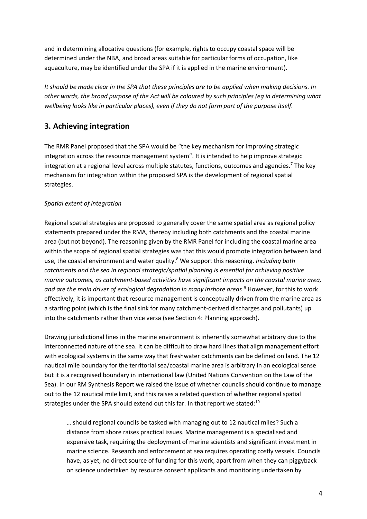and in determining allocative questions (for example, rights to occupy coastal space will be determined under the NBA, and broad areas suitable for particular forms of occupation, like aquaculture, may be identified under the SPA if it is applied in the marine environment).

*It should be made clear in the SPA that these principles are to be applied when making decisions. In other words, the broad purpose of the Act will be coloured by such principles (eg in determining what wellbeing looks like in particular places), even if they do not form part of the purpose itself.*

## **3. Achieving integration**

The RMR Panel proposed that the SPA would be "the key mechanism for improving strategic integration across the resource management system". It is intended to help improve strategic integration at a regional level across multiple statutes, functions, outcomes and agencies.<sup>7</sup> The key mechanism for integration within the proposed SPA is the development of regional spatial strategies.

#### *Spatial extent of integration*

Regional spatial strategies are proposed to generally cover the same spatial area as regional policy statements prepared under the RMA, thereby including both catchments and the coastal marine area (but not beyond). The reasoning given by the RMR Panel for including the coastal marine area within the scope of regional spatial strategies was that this would promote integration between land use, the coastal environment and water quality.<sup>8</sup> We support this reasoning. *Including both catchments and the sea in regional strategic/spatial planning is essential for achieving positive marine outcomes, as catchment-based activities have significant impacts on the coastal marine area, and are the main driver of ecological degradation in many inshore areas*. <sup>9</sup> However, for this to work effectively, it is important that resource management is conceptually driven from the marine area as a starting point (which is the final sink for many catchment-derived discharges and pollutants) up into the catchments rather than vice versa (see Section 4: Planning approach).

Drawing jurisdictional lines in the marine environment is inherently somewhat arbitrary due to the interconnected nature of the sea. It can be difficult to draw hard lines that align management effort with ecological systems in the same way that freshwater catchments can be defined on land. The 12 nautical mile boundary for the territorial sea/coastal marine area is arbitrary in an ecological sense but it is a recognised boundary in international law (United Nations Convention on the Law of the Sea). In our RM Synthesis Report we raised the issue of whether councils should continue to manage out to the 12 nautical mile limit, and this raises a related question of whether regional spatial strategies under the SPA should extend out this far. In that report we stated:<sup>10</sup>

… should regional councils be tasked with managing out to 12 nautical miles? Such a distance from shore raises practical issues. Marine management is a specialised and expensive task, requiring the deployment of marine scientists and significant investment in marine science. Research and enforcement at sea requires operating costly vessels. Councils have, as yet, no direct source of funding for this work, apart from when they can piggyback on science undertaken by resource consent applicants and monitoring undertaken by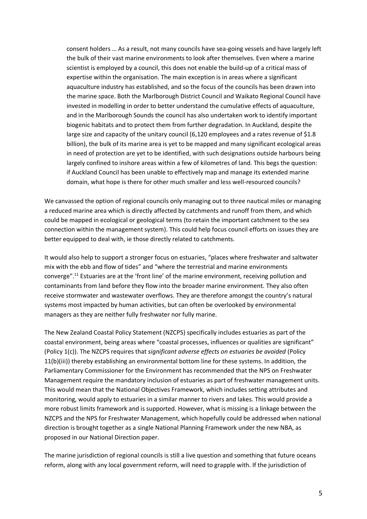consent holders … As a result, not many councils have sea-going vessels and have largely left the bulk of their vast marine environments to look after themselves. Even where a marine scientist is employed by a council, this does not enable the build-up of a critical mass of expertise within the organisation. The main exception is in areas where a significant aquaculture industry has established, and so the focus of the councils has been drawn into the marine space. Both the Marlborough District Council and Waikato Regional Council have invested in modelling in order to better understand the cumulative effects of aquaculture, and in the Marlborough Sounds the council has also undertaken work to identify important biogenic habitats and to protect them from further degradation. In Auckland, despite the large size and capacity of the unitary council (6,120 employees and a rates revenue of \$1.8 billion), the bulk of its marine area is yet to be mapped and many significant ecological areas in need of protection are yet to be identified, with such designations outside harbours being largely confined to inshore areas within a few of kilometres of land. This begs the question: if Auckland Council has been unable to effectively map and manage its extended marine domain, what hope is there for other much smaller and less well-resourced councils?

We canvassed the option of regional councils only managing out to three nautical miles or managing a reduced marine area which is directly affected by catchments and runoff from them, and which could be mapped in ecological or geological terms (to retain the important catchment to the sea connection within the management system). This could help focus council efforts on issues they are better equipped to deal with, ie those directly related to catchments.

It would also help to support a stronger focus on estuaries, "places where freshwater and saltwater mix with the ebb and flow of tides" and "where the terrestrial and marine environments converge".<sup>11</sup> Estuaries are at the 'front line' of the marine environment, receiving pollution and contaminants from land before they flow into the broader marine environment. They also often receive stormwater and wastewater overflows. They are therefore amongst the country's natural systems most impacted by human activities, but can often be overlooked by environmental managers as they are neither fully freshwater nor fully marine.

The New Zealand Coastal Policy Statement (NZCPS) specifically includes estuaries as part of the coastal environment, being areas where "coastal processes, influences or qualities are significant" (Policy 1(c)). The NZCPS requires that *significant adverse effects on estuaries be avoided* (Policy 11(b)(iii)) thereby establishing an environmental bottom line for these systems. In addition, the Parliamentary Commissioner for the Environment has recommended that the NPS on Freshwater Management require the mandatory inclusion of estuaries as part of freshwater management units. This would mean that the National Objectives Framework, which includes setting attributes and monitoring, would apply to estuaries in a similar manner to rivers and lakes. This would provide a more robust limits framework and is supported. However, what is missing is a linkage between the NZCPS and the NPS for Freshwater Management, which hopefully could be addressed when national direction is brought together as a single National Planning Framework under the new NBA, as proposed in our National Direction paper.

The marine jurisdiction of regional councils is still a live question and something that future oceans reform, along with any local government reform, will need to grapple with. If the jurisdiction of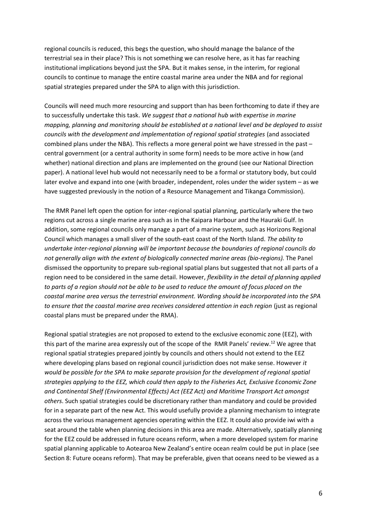regional councils is reduced, this begs the question, who should manage the balance of the terrestrial sea in their place? This is not something we can resolve here, as it has far reaching institutional implications beyond just the SPA. But it makes sense, in the interim, for regional councils to continue to manage the entire coastal marine area under the NBA and for regional spatial strategies prepared under the SPA to align with this jurisdiction.

Councils will need much more resourcing and support than has been forthcoming to date if they are to successfully undertake this task. *We suggest that a national hub with expertise in marine mapping, planning and monitoring should be established at a national level and be deployed to assist councils with the development and implementation of regional spatial strategies* (and associated combined plans under the NBA). This reflects a more general point we have stressed in the past – central government (or a central authority in some form) needs to be more active in how (and whether) national direction and plans are implemented on the ground (see our National Direction paper). A national level hub would not necessarily need to be a formal or statutory body, but could later evolve and expand into one (with broader, independent, roles under the wider system – as we have suggested previously in the notion of a Resource Management and Tikanga Commission).

The RMR Panel left open the option for inter-regional spatial planning, particularly where the two regions cut across a single marine area such as in the Kaipara Harbour and the Hauraki Gulf. In addition, some regional councils only manage a part of a marine system, such as Horizons Regional Council which manages a small sliver of the south-east coast of the North Island. *The ability to undertake inter-regional planning will be important because the boundaries of regional councils do not generally align with the extent of biologically connected marine areas (bio-regions).* The Panel dismissed the opportunity to prepare sub-regional spatial plans but suggested that not all parts of a region need to be considered in the same detail. However, *flexibility in the detail of planning applied to parts of a region should not be able to be used to reduce the amount of focus placed on the coastal marine area versus the terrestrial environment. Wording should be incorporated into the SPA to ensure that the coastal marine area receives considered attention in each region* (just as regional coastal plans must be prepared under the RMA).

Regional spatial strategies are not proposed to extend to the exclusive economic zone (EEZ), with this part of the marine area expressly out of the scope of the RMR Panels' review.<sup>12</sup> We agree that regional spatial strategies prepared jointly by councils and others should not extend to the EEZ where developing plans based on regional council jurisdiction does not make sense. However *it would be possible for the SPA to make separate provision for the development of regional spatial strategies applying to the EEZ, which could then apply to the Fisheries Act, Exclusive Economic Zone and Continental Shelf (Environmental Effects) Act (EEZ Act) and Maritime Transport Act amongst others*. Such spatial strategies could be discretionary rather than mandatory and could be provided for in a separate part of the new Act. This would usefully provide a planning mechanism to integrate across the various management agencies operating within the EEZ. It could also provide iwi with a seat around the table when planning decisions in this area are made. Alternatively, spatially planning for the EEZ could be addressed in future oceans reform, when a more developed system for marine spatial planning applicable to Aotearoa New Zealand's entire ocean realm could be put in place (see Section 8: Future oceans reform). That may be preferable, given that oceans need to be viewed as a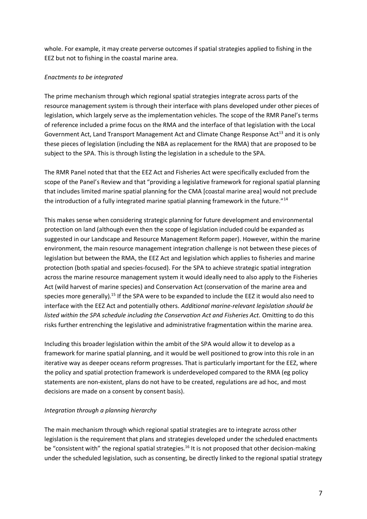whole. For example, it may create perverse outcomes if spatial strategies applied to fishing in the EEZ but not to fishing in the coastal marine area.

#### *Enactments to be integrated*

The prime mechanism through which regional spatial strategies integrate across parts of the resource management system is through their interface with plans developed under other pieces of legislation, which largely serve as the implementation vehicles. The scope of the RMR Panel's terms of reference included a prime focus on the RMA and the interface of that legislation with the Local Government Act, Land Transport Management Act and Climate Change Response Act<sup>13</sup> and it is only these pieces of legislation (including the NBA as replacement for the RMA) that are proposed to be subject to the SPA. This is through listing the legislation in a schedule to the SPA.

The RMR Panel noted that that the EEZ Act and Fisheries Act were specifically excluded from the scope of the Panel's Review and that "providing a legislative framework for regional spatial planning that includes limited marine spatial planning for the CMA [coastal marine area] would not preclude the introduction of a fully integrated marine spatial planning framework in the future."<sup>14</sup>

This makes sense when considering strategic planning for future development and environmental protection on land (although even then the scope of legislation included could be expanded as suggested in our Landscape and Resource Management Reform paper). However, within the marine environment, the main resource management integration challenge is not between these pieces of legislation but between the RMA, the EEZ Act and legislation which applies to fisheries and marine protection (both spatial and species-focused). For the SPA to achieve strategic spatial integration across the marine resource management system it would ideally need to also apply to the Fisheries Act (wild harvest of marine species) and Conservation Act (conservation of the marine area and species more generally).<sup>15</sup> If the SPA were to be expanded to include the EEZ it would also need to interface with the EEZ Act and potentially others. *Additional marine-relevant legislation should be listed within the SPA schedule including the Conservation Act and Fisheries Act.* Omitting to do this risks further entrenching the legislative and administrative fragmentation within the marine area.

Including this broader legislation within the ambit of the SPA would allow it to develop as a framework for marine spatial planning, and it would be well positioned to grow into this role in an iterative way as deeper oceans reform progresses. That is particularly important for the EEZ, where the policy and spatial protection framework is underdeveloped compared to the RMA (eg policy statements are non-existent, plans do not have to be created, regulations are ad hoc, and most decisions are made on a consent by consent basis).

#### *Integration through a planning hierarchy*

The main mechanism through which regional spatial strategies are to integrate across other legislation is the requirement that plans and strategies developed under the scheduled enactments be "consistent with" the regional spatial strategies.<sup>16</sup> It is not proposed that other decision-making under the scheduled legislation, such as consenting, be directly linked to the regional spatial strategy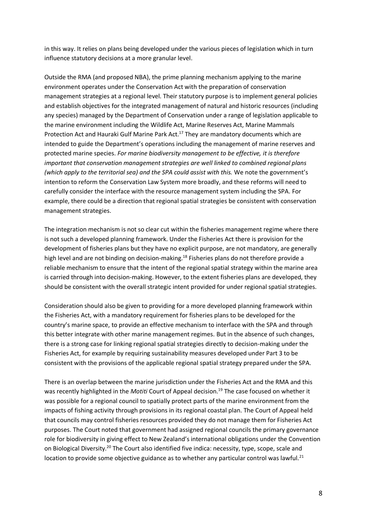in this way. It relies on plans being developed under the various pieces of legislation which in turn influence statutory decisions at a more granular level.

Outside the RMA (and proposed NBA), the prime planning mechanism applying to the marine environment operates under the Conservation Act with the preparation of conservation management strategies at a regional level. Their statutory purpose is to implement general policies and establish objectives for the integrated management of natural and historic resources (including any species) managed by the Department of Conservation under a range of legislation applicable to the marine environment including the Wildlife Act, Marine Reserves Act, Marine Mammals Protection Act and Hauraki Gulf Marine Park Act.<sup>17</sup> They are mandatory documents which are intended to guide the Department's operations including the management of marine reserves and protected marine species. *For marine biodiversity management to be effective, it is therefore important that conservation management strategies are well linked to combined regional plans (which apply to the territorial sea) and the SPA could assist with this.* We note the government's intention to reform the Conservation Law System more broadly, and these reforms will need to carefully consider the interface with the resource management system including the SPA. For example, there could be a direction that regional spatial strategies be consistent with conservation management strategies.

The integration mechanism is not so clear cut within the fisheries management regime where there is not such a developed planning framework. Under the Fisheries Act there is provision for the development of fisheries plans but they have no explicit purpose, are not mandatory, are generally high level and are not binding on decision-making.<sup>18</sup> Fisheries plans do not therefore provide a reliable mechanism to ensure that the intent of the regional spatial strategy within the marine area is carried through into decision-making. However, to the extent fisheries plans are developed, they should be consistent with the overall strategic intent provided for under regional spatial strategies.

Consideration should also be given to providing for a more developed planning framework within the Fisheries Act, with a mandatory requirement for fisheries plans to be developed for the country's marine space, to provide an effective mechanism to interface with the SPA and through this better integrate with other marine management regimes. But in the absence of such changes, there is a strong case for linking regional spatial strategies directly to decision-making under the Fisheries Act, for example by requiring sustainability measures developed under Part 3 to be consistent with the provisions of the applicable regional spatial strategy prepared under the SPA.

There is an overlap between the marine jurisdiction under the Fisheries Act and the RMA and this was recently highlighted in the *Motiti* Court of Appeal decision. <sup>19</sup> The case focused on whether it was possible for a regional council to spatially protect parts of the marine environment from the impacts of fishing activity through provisions in its regional coastal plan. The Court of Appeal held that councils may control fisheries resources provided they do not manage them for Fisheries Act purposes. The Court noted that government had assigned regional councils the primary governance role for biodiversity in giving effect to New Zealand's international obligations under the Convention on Biological Diversity.<sup>20</sup> The Court also identified five indica: necessity, type, scope, scale and location to provide some objective guidance as to whether any particular control was lawful.<sup>21</sup>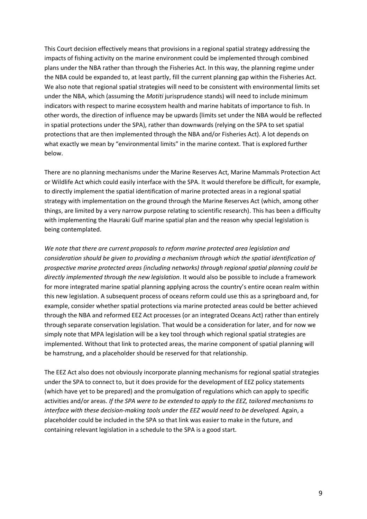This Court decision effectively means that provisions in a regional spatial strategy addressing the impacts of fishing activity on the marine environment could be implemented through combined plans under the NBA rather than through the Fisheries Act. In this way, the planning regime under the NBA could be expanded to, at least partly, fill the current planning gap within the Fisheries Act. We also note that regional spatial strategies will need to be consistent with environmental limits set under the NBA, which (assuming the *Motiti* jurisprudence stands) will need to include minimum indicators with respect to marine ecosystem health and marine habitats of importance to fish. In other words, the direction of influence may be upwards (limits set under the NBA would be reflected in spatial protections under the SPA), rather than downwards (relying on the SPA to set spatial protections that are then implemented through the NBA and/or Fisheries Act). A lot depends on what exactly we mean by "environmental limits" in the marine context. That is explored further below.

There are no planning mechanisms under the Marine Reserves Act, Marine Mammals Protection Act or Wildlife Act which could easily interface with the SPA. It would therefore be difficult, for example, to directly implement the spatial identification of marine protected areas in a regional spatial strategy with implementation on the ground through the Marine Reserves Act (which, among other things, are limited by a very narrow purpose relating to scientific research). This has been a difficulty with implementing the Hauraki Gulf marine spatial plan and the reason why special legislation is being contemplated.

*We note that there are current proposals to reform marine protected area legislation and consideration should be given to providing a mechanism through which the spatial identification of prospective marine protected areas (including networks) through regional spatial planning could be directly implemented through the new legislation.* It would also be possible to include a framework for more integrated marine spatial planning applying across the country's entire ocean realm within this new legislation. A subsequent process of oceans reform could use this as a springboard and, for example, consider whether spatial protections via marine protected areas could be better achieved through the NBA and reformed EEZ Act processes (or an integrated Oceans Act) rather than entirely through separate conservation legislation. That would be a consideration for later, and for now we simply note that MPA legislation will be a key tool through which regional spatial strategies are implemented. Without that link to protected areas, the marine component of spatial planning will be hamstrung, and a placeholder should be reserved for that relationship.

The EEZ Act also does not obviously incorporate planning mechanisms for regional spatial strategies under the SPA to connect to, but it does provide for the development of EEZ policy statements (which have yet to be prepared) and the promulgation of regulations which can apply to specific activities and/or areas. *If the SPA were to be extended to apply to the EEZ, tailored mechanisms to interface with these decision-making tools under the EEZ would need to be developed.* Again, a placeholder could be included in the SPA so that link was easier to make in the future, and containing relevant legislation in a schedule to the SPA is a good start.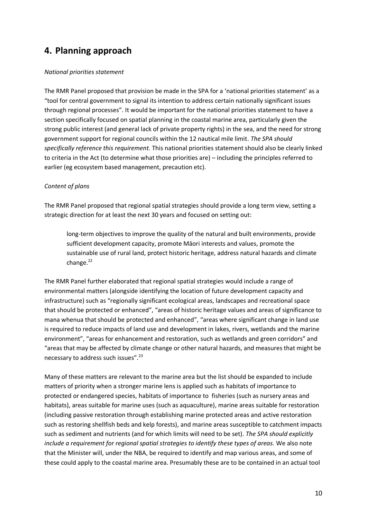## **4. Planning approach**

#### *National priorities statement*

The RMR Panel proposed that provision be made in the SPA for a 'national priorities statement' as a "tool for central government to signal its intention to address certain nationally significant issues through regional processes". It would be important for the national priorities statement to have a section specifically focused on spatial planning in the coastal marine area, particularly given the strong public interest (and general lack of private property rights) in the sea, and the need for strong government support for regional councils within the 12 nautical mile limit. *The SPA should specifically reference this requirement.* This national priorities statement should also be clearly linked to criteria in the Act (to determine what those priorities are) – including the principles referred to earlier (eg ecosystem based management, precaution etc).

#### *Content of plans*

The RMR Panel proposed that regional spatial strategies should provide a long term view, setting a strategic direction for at least the next 30 years and focused on setting out:

long-term objectives to improve the quality of the natural and built environments, provide sufficient development capacity, promote Māori interests and values, promote the sustainable use of rural land, protect historic heritage, address natural hazards and climate change.<sup>22</sup>

The RMR Panel further elaborated that regional spatial strategies would include a range of environmental matters (alongside identifying the location of future development capacity and infrastructure) such as "regionally significant ecological areas, landscapes and recreational space that should be protected or enhanced", "areas of historic heritage values and areas of significance to mana whenua that should be protected and enhanced", "areas where significant change in land use is required to reduce impacts of land use and development in lakes, rivers, wetlands and the marine environment", "areas for enhancement and restoration, such as wetlands and green corridors" and "areas that may be affected by climate change or other natural hazards, and measures that might be necessary to address such issues".<sup>23</sup>

Many of these matters are relevant to the marine area but the list should be expanded to include matters of priority when a stronger marine lens is applied such as habitats of importance to protected or endangered species, habitats of importance to fisheries (such as nursery areas and habitats), areas suitable for marine uses (such as aquaculture), marine areas suitable for restoration (including passive restoration through establishing marine protected areas and active restoration such as restoring shellfish beds and kelp forests), and marine areas susceptible to catchment impacts such as sediment and nutrients (and for which limits will need to be set). *The SPA should explicitly include a requirement for regional spatial strategies to identify these types of areas.* We also note that the Minister will, under the NBA, be required to identify and map various areas, and some of these could apply to the coastal marine area. Presumably these are to be contained in an actual tool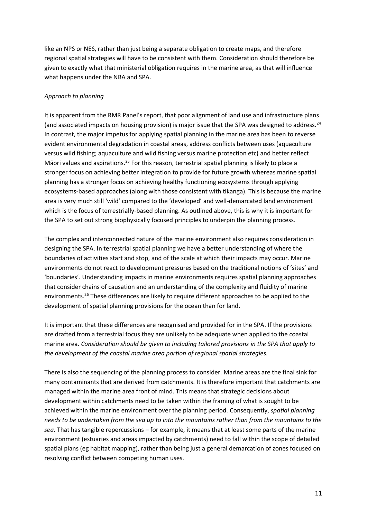like an NPS or NES, rather than just being a separate obligation to create maps, and therefore regional spatial strategies will have to be consistent with them. Consideration should therefore be given to exactly what that ministerial obligation requires in the marine area, as that will influence what happens under the NBA and SPA.

#### *Approach to planning*

It is apparent from the RMR Panel's report, that poor alignment of land use and infrastructure plans (and associated impacts on housing provision) is major issue that the SPA was designed to address.<sup>24</sup> In contrast, the major impetus for applying spatial planning in the marine area has been to reverse evident environmental degradation in coastal areas, address conflicts between uses (aquaculture versus wild fishing; aquaculture and wild fishing versus marine protection etc) and better reflect Māori values and aspirations.<sup>25</sup> For this reason, terrestrial spatial planning is likely to place a stronger focus on achieving better integration to provide for future growth whereas marine spatial planning has a stronger focus on achieving healthy functioning ecosystems through applying ecosystems-based approaches (along with those consistent with tikanga). This is because the marine area is very much still 'wild' compared to the 'developed' and well-demarcated land environment which is the focus of terrestrially-based planning. As outlined above, this is why it is important for the SPA to set out strong biophysically focused principles to underpin the planning process.

The complex and interconnected nature of the marine environment also requires consideration in designing the SPA. In terrestrial spatial planning we have a better understanding of where the boundaries of activities start and stop, and of the scale at which their impacts may occur. Marine environments do not react to development pressures based on the traditional notions of 'sites' and 'boundaries'. Understanding impacts in marine environments requires spatial planning approaches that consider chains of causation and an understanding of the complexity and fluidity of marine environments.<sup>26</sup> These differences are likely to require different approaches to be applied to the development of spatial planning provisions for the ocean than for land.

It is important that these differences are recognised and provided for in the SPA. If the provisions are drafted from a terrestrial focus they are unlikely to be adequate when applied to the coastal marine area. *Consideration should be given to including tailored provisions in the SPA that apply to the development of the coastal marine area portion of regional spatial strategies.* 

There is also the sequencing of the planning process to consider. Marine areas are the final sink for many contaminants that are derived from catchments. It is therefore important that catchments are managed within the marine area front of mind. This means that strategic decisions about development within catchments need to be taken within the framing of what is sought to be achieved within the marine environment over the planning period. Consequently, *spatial planning needs to be undertaken from the sea up to into the mountains rather than from the mountains to the sea.* That has tangible repercussions – for example, it means that at least some parts of the marine environment (estuaries and areas impacted by catchments) need to fall within the scope of detailed spatial plans (eg habitat mapping), rather than being just a general demarcation of zones focused on resolving conflict between competing human uses.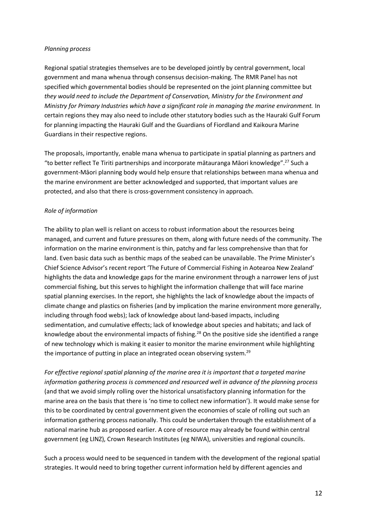#### *Planning process*

Regional spatial strategies themselves are to be developed jointly by central government, local government and mana whenua through consensus decision-making. The RMR Panel has not specified which governmental bodies should be represented on the joint planning committee but *they would need to include the Department of Conservation, Ministry for the Environment and Ministry for Primary Industries which have a significant role in managing the marine environment.* In certain regions they may also need to include other statutory bodies such as the Hauraki Gulf Forum for planning impacting the Hauraki Gulf and the Guardians of Fiordland and Kaikoura Marine Guardians in their respective regions.

The proposals, importantly, enable mana whenua to participate in spatial planning as partners and "to better reflect Te Tiriti partnerships and incorporate mātauranga Māori knowledge".<sup>27</sup> Such a government-Māori planning body would help ensure that relationships between mana whenua and the marine environment are better acknowledged and supported, that important values are protected, and also that there is cross-government consistency in approach.

#### *Role of information*

The ability to plan well is reliant on access to robust information about the resources being managed, and current and future pressures on them, along with future needs of the community. The information on the marine environment is thin, patchy and far less comprehensive than that for land. Even basic data such as benthic maps of the seabed can be unavailable. The Prime Minister's Chief Science Advisor's recent report 'The Future of Commercial Fishing in Aotearoa New Zealand' highlights the data and knowledge gaps for the marine environment through a narrower lens of just commercial fishing, but this serves to highlight the information challenge that will face marine spatial planning exercises. In the report, she highlights the lack of knowledge about the impacts of climate change and plastics on fisheries (and by implication the marine environment more generally, including through food webs); lack of knowledge about land-based impacts, including sedimentation, and cumulative effects; lack of knowledge about species and habitats; and lack of knowledge about the environmental impacts of fishing.<sup>28</sup> On the positive side she identified a range of new technology which is making it easier to monitor the marine environment while highlighting the importance of putting in place an integrated ocean observing system.<sup>29</sup>

*For effective regional spatial planning of the marine area it is important that a targeted marine information gathering process is commenced and resourced well in advance of the planning process*  (and that we avoid simply rolling over the historical unsatisfactory planning information for the marine area on the basis that there is 'no time to collect new information'). It would make sense for this to be coordinated by central government given the economies of scale of rolling out such an information gathering process nationally. This could be undertaken through the establishment of a national marine hub as proposed earlier. A core of resource may already be found within central government (eg LINZ), Crown Research Institutes (eg NIWA), universities and regional councils.

Such a process would need to be sequenced in tandem with the development of the regional spatial strategies. It would need to bring together current information held by different agencies and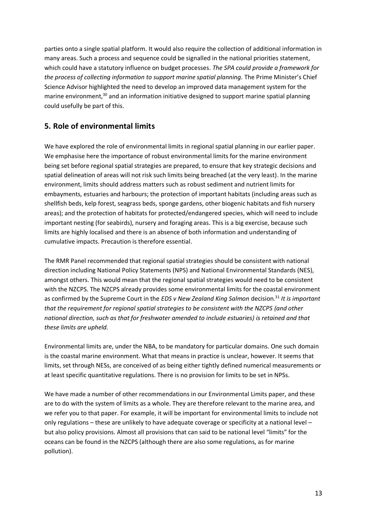parties onto a single spatial platform. It would also require the collection of additional information in many areas. Such a process and sequence could be signalled in the national priorities statement, which could have a statutory influence on budget processes. *The SPA could provide a framework for the process of collecting information to support marine spatial planning.* The Prime Minister's Chief Science Advisor highlighted the need to develop an improved data management system for the marine environment, $30$  and an information initiative designed to support marine spatial planning could usefully be part of this.

## **5. Role of environmental limits**

We have explored the role of environmental limits in regional spatial planning in our earlier paper. We emphasise here the importance of robust environmental limits for the marine environment being set before regional spatial strategies are prepared, to ensure that key strategic decisions and spatial delineation of areas will not risk such limits being breached (at the very least). In the marine environment, limits should address matters such as robust sediment and nutrient limits for embayments, estuaries and harbours; the protection of important habitats (including areas such as shellfish beds, kelp forest, seagrass beds, sponge gardens, other biogenic habitats and fish nursery areas); and the protection of habitats for protected/endangered species, which will need to include important nesting (for seabirds), nursery and foraging areas. This is a big exercise, because such limits are highly localised and there is an absence of both information and understanding of cumulative impacts. Precaution is therefore essential.

The RMR Panel recommended that regional spatial strategies should be consistent with national direction including National Policy Statements (NPS) and National Environmental Standards (NES), amongst others. This would mean that the regional spatial strategies would need to be consistent with the NZCPS. The NZCPS already provides some environmental limits for the coastal environment as confirmed by the Supreme Court in the *EDS v New Zealand King Salmon* decision.<sup>31</sup> It is important *that the requirement for regional spatial strategies to be consistent with the NZCPS (and other national direction, such as that for freshwater amended to include estuaries) is retained and that these limits are upheld.* 

Environmental limits are, under the NBA, to be mandatory for particular domains. One such domain is the coastal marine environment. What that means in practice is unclear, however. It seems that limits, set through NESs, are conceived of as being either tightly defined numerical measurements or at least specific quantitative regulations. There is no provision for limits to be set in NPSs.

We have made a number of other recommendations in our Environmental Limits paper, and these are to do with the system of limits as a whole. They are therefore relevant to the marine area, and we refer you to that paper. For example, it will be important for environmental limits to include not only regulations – these are unlikely to have adequate coverage or specificity at a national level – but also policy provisions. Almost all provisions that can said to be national level "limits" for the oceans can be found in the NZCPS (although there are also some regulations, as for marine pollution).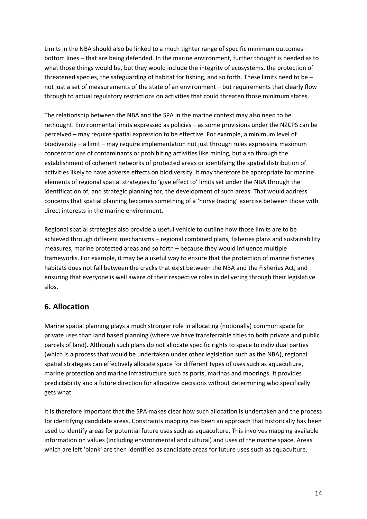Limits in the NBA should also be linked to a much tighter range of specific minimum outcomes – bottom lines – that are being defended. In the marine environment, further thought is needed as to what those things would be, but they would include the integrity of ecosystems, the protection of threatened species, the safeguarding of habitat for fishing, and so forth. These limits need to be – not just a set of measurements of the state of an environment – but requirements that clearly flow through to actual regulatory restrictions on activities that could threaten those minimum states.

The relationship between the NBA and the SPA in the marine context may also need to be rethought. Environmental limits expressed as policies – as some provisions under the NZCPS can be perceived – may require spatial expression to be effective. For example, a minimum level of biodiversity – a limit – may require implementation not just through rules expressing maximum concentrations of contaminants or prohibiting activities like mining, but also through the establishment of coherent networks of protected areas or identifying the spatial distribution of activities likely to have adverse effects on biodiversity. It may therefore be appropriate for marine elements of regional spatial strategies to 'give effect to' limits set under the NBA through the identification of, and strategic planning for, the development of such areas. That would address concerns that spatial planning becomes something of a 'horse trading' exercise between those with direct interests in the marine environment.

Regional spatial strategies also provide a useful vehicle to outline how those limits are to be achieved through different mechanisms – regional combined plans, fisheries plans and sustainability measures, marine protected areas and so forth – because they would influence multiple frameworks. For example, it may be a useful way to ensure that the protection of marine fisheries habitats does not fall between the cracks that exist between the NBA and the Fisheries Act, and ensuring that everyone is well aware of their respective roles in delivering through their legislative silos.

## **6. Allocation**

Marine spatial planning plays a much stronger role in allocating (notionally) common space for private uses than land based planning (where we have transferrable titles to both private and public parcels of land). Although such plans do not allocate specific rights to space to individual parties (which is a process that would be undertaken under other legislation such as the NBA), regional spatial strategies can effectively allocate space for different types of uses such as aquaculture, marine protection and marine infrastructure such as ports, marinas and moorings. It provides predictability and a future direction for allocative decisions without determining who specifically gets what.

It is therefore important that the SPA makes clear how such allocation is undertaken and the process for identifying candidate areas. Constraints mapping has been an approach that historically has been used to identify areas for potential future uses such as aquaculture. This involves mapping available information on values (including environmental and cultural) and uses of the marine space. Areas which are left 'blank' are then identified as candidate areas for future uses such as aquaculture.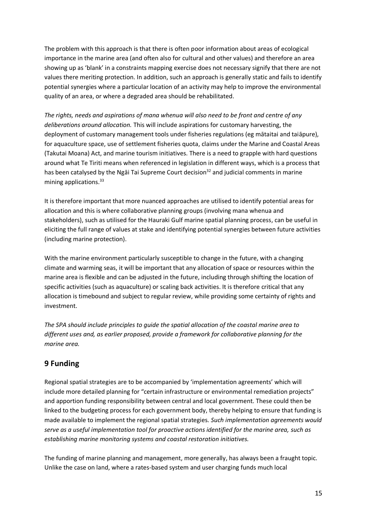The problem with this approach is that there is often poor information about areas of ecological importance in the marine area (and often also for cultural and other values) and therefore an area showing up as 'blank' in a constraints mapping exercise does not necessary signify that there are not values there meriting protection. In addition, such an approach is generally static and fails to identify potential synergies where a particular location of an activity may help to improve the environmental quality of an area, or where a degraded area should be rehabilitated.

*The rights, needs and aspirations of mana whenua will also need to be front and centre of any deliberations around allocation.* This will include aspirations for customary harvesting, the deployment of customary management tools under fisheries regulations (eg mātaitai and taiāpure), for aquaculture space, use of settlement fisheries quota, claims under the Marine and Coastal Areas (Takutai Moana) Act, and marine tourism initiatives. There is a need to grapple with hard questions around what Te Tiriti means when referenced in legislation in different ways, which is a process that has been catalysed by the Ngai Tai Supreme Court decision<sup>32</sup> and judicial comments in marine mining applications.<sup>33</sup>

It is therefore important that more nuanced approaches are utilised to identify potential areas for allocation and this is where collaborative planning groups (involving mana whenua and stakeholders), such as utilised for the Hauraki Gulf marine spatial planning process, can be useful in eliciting the full range of values at stake and identifying potential synergies between future activities (including marine protection).

With the marine environment particularly susceptible to change in the future, with a changing climate and warming seas, it will be important that any allocation of space or resources within the marine area is flexible and can be adjusted in the future, including through shifting the location of specific activities (such as aquaculture) or scaling back activities. It is therefore critical that any allocation is timebound and subject to regular review, while providing some certainty of rights and investment.

*The SPA should include principles to guide the spatial allocation of the coastal marine area to different uses and, as earlier proposed, provide a framework for collaborative planning for the marine area.*

## **9 Funding**

Regional spatial strategies are to be accompanied by 'implementation agreements' which will include more detailed planning for "certain infrastructure or environmental remediation projects" and apportion funding responsibility between central and local government. These could then be linked to the budgeting process for each government body, thereby helping to ensure that funding is made available to implement the regional spatial strategies. *Such implementation agreements would serve as a useful implementation tool for proactive actions identified for the marine area, such as establishing marine monitoring systems and coastal restoration initiatives.* 

The funding of marine planning and management, more generally, has always been a fraught topic. Unlike the case on land, where a rates-based system and user charging funds much local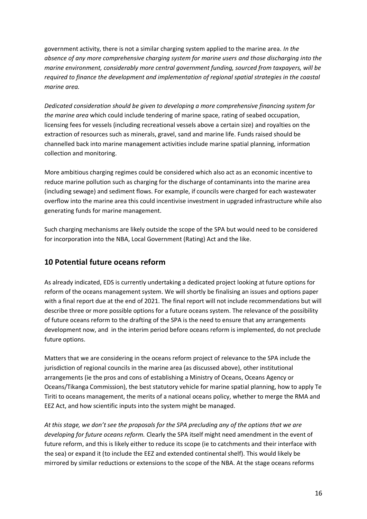government activity, there is not a similar charging system applied to the marine area. *In the absence of any more comprehensive charging system for marine users and those discharging into the marine environment, considerably more central government funding, sourced from taxpayers, will be required to finance the development and implementation of regional spatial strategies in the coastal marine area.*

*Dedicated consideration should be given to developing a more comprehensive financing system for the marine area* which could include tendering of marine space, rating of seabed occupation, licensing fees for vessels (including recreational vessels above a certain size) and royalties on the extraction of resources such as minerals, gravel, sand and marine life. Funds raised should be channelled back into marine management activities include marine spatial planning, information collection and monitoring.

More ambitious charging regimes could be considered which also act as an economic incentive to reduce marine pollution such as charging for the discharge of contaminants into the marine area (including sewage) and sediment flows. For example, if councils were charged for each wastewater overflow into the marine area this could incentivise investment in upgraded infrastructure while also generating funds for marine management.

Such charging mechanisms are likely outside the scope of the SPA but would need to be considered for incorporation into the NBA, Local Government (Rating) Act and the like.

## **10 Potential future oceans reform**

As already indicated, EDS is currently undertaking a dedicated project looking at future options for reform of the oceans management system. We will shortly be finalising an issues and options paper with a final report due at the end of 2021. The final report will not include recommendations but will describe three or more possible options for a future oceans system. The relevance of the possibility of future oceans reform to the drafting of the SPA is the need to ensure that any arrangements development now, and in the interim period before oceans reform is implemented, do not preclude future options.

Matters that we are considering in the oceans reform project of relevance to the SPA include the jurisdiction of regional councils in the marine area (as discussed above), other institutional arrangements (ie the pros and cons of establishing a Ministry of Oceans, Oceans Agency or Oceans/Tikanga Commission), the best statutory vehicle for marine spatial planning, how to apply Te Tiriti to oceans management, the merits of a national oceans policy, whether to merge the RMA and EEZ Act, and how scientific inputs into the system might be managed.

*At this stage, we don't see the proposals for the SPA precluding any of the options that we are developing for future oceans reform.* Clearly the SPA itself might need amendment in the event of future reform, and this is likely either to reduce its scope (ie to catchments and their interface with the sea) or expand it (to include the EEZ and extended continental shelf). This would likely be mirrored by similar reductions or extensions to the scope of the NBA. At the stage oceans reforms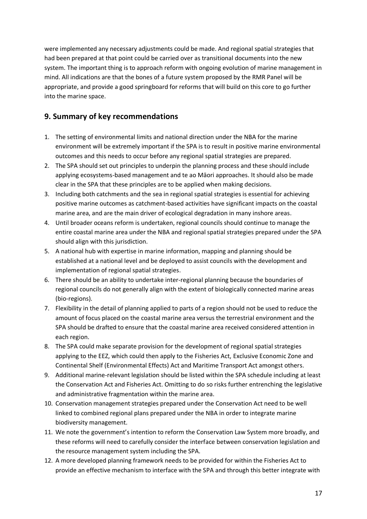were implemented any necessary adjustments could be made. And regional spatial strategies that had been prepared at that point could be carried over as transitional documents into the new system. The important thing is to approach reform with ongoing evolution of marine management in mind. All indications are that the bones of a future system proposed by the RMR Panel will be appropriate, and provide a good springboard for reforms that will build on this core to go further into the marine space.

## **9. Summary of key recommendations**

- 1. The setting of environmental limits and national direction under the NBA for the marine environment will be extremely important if the SPA is to result in positive marine environmental outcomes and this needs to occur before any regional spatial strategies are prepared.
- 2. The SPA should set out principles to underpin the planning process and these should include applying ecosystems-based management and te ao Māori approaches. It should also be made clear in the SPA that these principles are to be applied when making decisions.
- 3. Including both catchments and the sea in regional spatial strategies is essential for achieving positive marine outcomes as catchment-based activities have significant impacts on the coastal marine area, and are the main driver of ecological degradation in many inshore areas.
- 4. Until broader oceans reform is undertaken, regional councils should continue to manage the entire coastal marine area under the NBA and regional spatial strategies prepared under the SPA should align with this jurisdiction.
- 5. A national hub with expertise in marine information, mapping and planning should be established at a national level and be deployed to assist councils with the development and implementation of regional spatial strategies.
- 6. There should be an ability to undertake inter-regional planning because the boundaries of regional councils do not generally align with the extent of biologically connected marine areas (bio-regions).
- 7. Flexibility in the detail of planning applied to parts of a region should not be used to reduce the amount of focus placed on the coastal marine area versus the terrestrial environment and the SPA should be drafted to ensure that the coastal marine area received considered attention in each region.
- 8. The SPA could make separate provision for the development of regional spatial strategies applying to the EEZ, which could then apply to the Fisheries Act, Exclusive Economic Zone and Continental Shelf (Environmental Effects) Act and Maritime Transport Act amongst others.
- 9. Additional marine-relevant legislation should be listed within the SPA schedule including at least the Conservation Act and Fisheries Act. Omitting to do so risks further entrenching the legislative and administrative fragmentation within the marine area.
- 10. Conservation management strategies prepared under the Conservation Act need to be well linked to combined regional plans prepared under the NBA in order to integrate marine biodiversity management.
- 11. We note the government's intention to reform the Conservation Law System more broadly, and these reforms will need to carefully consider the interface between conservation legislation and the resource management system including the SPA.
- 12. A more developed planning framework needs to be provided for within the Fisheries Act to provide an effective mechanism to interface with the SPA and through this better integrate with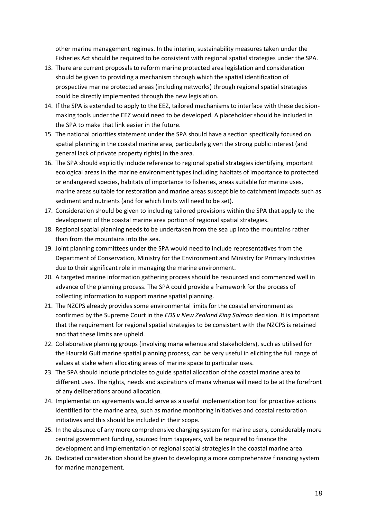other marine management regimes. In the interim, sustainability measures taken under the Fisheries Act should be required to be consistent with regional spatial strategies under the SPA.

- 13. There are current proposals to reform marine protected area legislation and consideration should be given to providing a mechanism through which the spatial identification of prospective marine protected areas (including networks) through regional spatial strategies could be directly implemented through the new legislation.
- 14. If the SPA is extended to apply to the EEZ, tailored mechanisms to interface with these decisionmaking tools under the EEZ would need to be developed. A placeholder should be included in the SPA to make that link easier in the future.
- 15. The national priorities statement under the SPA should have a section specifically focused on spatial planning in the coastal marine area, particularly given the strong public interest (and general lack of private property rights) in the area.
- 16. The SPA should explicitly include reference to regional spatial strategies identifying important ecological areas in the marine environment types including habitats of importance to protected or endangered species, habitats of importance to fisheries, areas suitable for marine uses, marine areas suitable for restoration and marine areas susceptible to catchment impacts such as sediment and nutrients (and for which limits will need to be set).
- 17. Consideration should be given to including tailored provisions within the SPA that apply to the development of the coastal marine area portion of regional spatial strategies.
- 18. Regional spatial planning needs to be undertaken from the sea up into the mountains rather than from the mountains into the sea.
- 19. Joint planning committees under the SPA would need to include representatives from the Department of Conservation, Ministry for the Environment and Ministry for Primary Industries due to their significant role in managing the marine environment.
- 20. A targeted marine information gathering process should be resourced and commenced well in advance of the planning process. The SPA could provide a framework for the process of collecting information to support marine spatial planning.
- 21. The NZCPS already provides some environmental limits for the coastal environment as confirmed by the Supreme Court in the *EDS v New Zealand King Salmon* decision. It is important that the requirement for regional spatial strategies to be consistent with the NZCPS is retained and that these limits are upheld.
- 22. Collaborative planning groups (involving mana whenua and stakeholders), such as utilised for the Hauraki Gulf marine spatial planning process, can be very useful in eliciting the full range of values at stake when allocating areas of marine space to particular uses.
- 23. The SPA should include principles to guide spatial allocation of the coastal marine area to different uses. The rights, needs and aspirations of mana whenua will need to be at the forefront of any deliberations around allocation.
- 24. Implementation agreements would serve as a useful implementation tool for proactive actions identified for the marine area, such as marine monitoring initiatives and coastal restoration initiatives and this should be included in their scope.
- 25. In the absence of any more comprehensive charging system for marine users, considerably more central government funding, sourced from taxpayers, will be required to finance the development and implementation of regional spatial strategies in the coastal marine area.
- 26. Dedicated consideration should be given to developing a more comprehensive financing system for marine management.